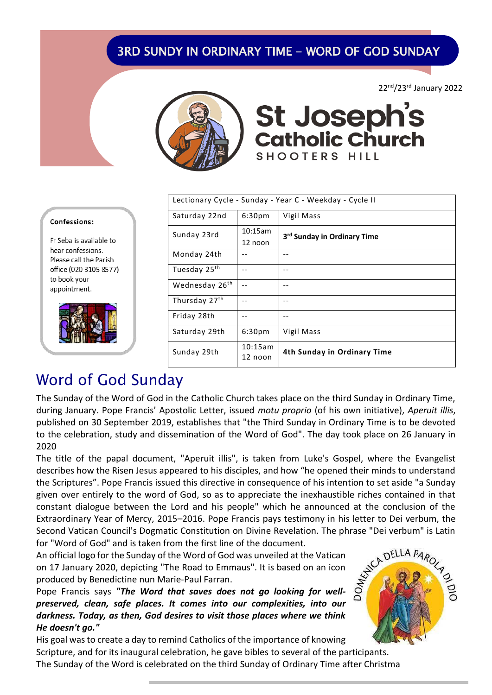### **3RD SUNDY IN ORDINARY TIME - WORD OF GOD SUNDAY**

22nd/23rd January 2022



**St Joseph's**<br>Catholic Church SHOOTERS HILL

| Lectionary Cycle - Sunday - Year C - Weekday - Cycle II |                    |                                         |  |  |
|---------------------------------------------------------|--------------------|-----------------------------------------|--|--|
| Saturday 22nd                                           | 6:30 <sub>pm</sub> | Vigil Mass                              |  |  |
| Sunday 23rd                                             | 10:15am            | 3 <sup>rd</sup> Sunday in Ordinary Time |  |  |
|                                                         | 12 noon            |                                         |  |  |
| Monday 24th                                             |                    |                                         |  |  |
| Tuesday 25th                                            |                    |                                         |  |  |
| Wednesday 26th                                          |                    |                                         |  |  |
| Thursday 27th                                           |                    |                                         |  |  |
| Friday 28th                                             |                    |                                         |  |  |
| Saturday 29th                                           | 6:30 <sub>pm</sub> | Vigil Mass                              |  |  |
| Sunday 29th                                             | 10:15am<br>12 noon | 4th Sunday in Ordinary Time             |  |  |

#### Confessions:

Fr Seba is available to hear confessions. Please call the Parish office (020 3105 8577) to book your appointment.



# Word of God Sunday

The Sunday of the Word of God in the Catholic Church takes place on the third Sunday in Ordinary Time, during January. Pope Francis' Apostolic Letter, issued *motu proprio* (of his own initiative), *Aperuit illis*, published on 30 September 2019, establishes that "the Third Sunday in Ordinary Time is to be devoted to the celebration, study and dissemination of the Word of God". The day took place on 26 January in 2020

The title of the papal document, "Aperuit illis", is taken from Luke's Gospel, where the Evangelist describes how the Risen Jesus appeared to his disciples, and how "he opened their minds to understand the Scriptures". Pope Francis issued this directive in consequence of his intention to set aside "a Sunday given over entirely to the word of God, so as to appreciate the inexhaustible riches contained in that constant dialogue between the Lord and his people" which he announced at the conclusion of the Extraordinary Year of Mercy, 2015–2016. Pope Francis pays testimony in his letter to Dei verbum, the for "Word of God" and is taken from the first line of the document.

Second Vatican Council's Dogmatic Constitution on Divine Revelation. The phrase "Dei verbum" is Latin<br>for "Word of God" and is taken from the first line of the document.<br>An official logo for the Sunday of the Word of God w An official logo for the Sunday of the Word of God was unveiled at the Vatican on 17 January 2020, depicting "The Road to Emmaus". It is based on an icon produced by Benedictine nun Marie-Paul Farran.

Pope Francis says *"The Word that saves does not go looking for wellpreserved, clean, safe places. It comes into our complexities, into our darkness. Today, as then, God desires to visit those places where we think He doesn't go."*

His goal was to create a day to remind Catholics of the importance of knowing Scripture, and for its inaugural celebration, he gave bibles to several of the participants. The Sunday of the Word is celebrated on the third Sunday of Ordinary Time after Christma

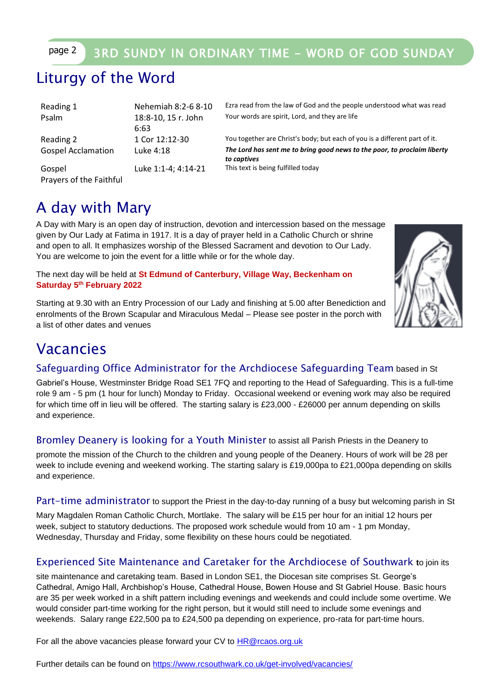### page 2 3RD SUNDY IN ORDINARY TIME - WORD OF GOD SUNDAY

## Liturgy of the Word

| Reading 1                         | Nehemiah 8:2-6 8-10 | Ezra read fi               |
|-----------------------------------|---------------------|----------------------------|
| Psalm                             | 18:8-10, 15 r. John | Your words                 |
|                                   | 6:63                |                            |
| Reading 2                         | 1 Cor 12:12-30      | You togeth                 |
| <b>Gospel Acclamation</b>         | Luke 4:18           | The Lord he<br>to captives |
| Gospel<br>Prayers of the Faithful | Luke 1:1-4; 4:14-21 | This text is               |

from the law of God and the people understood what was read Is are spirit, Lord, and they are life

her are Christ's body; but each of you is a different part of it. has sent me to bring good news to the poor, to proclaim liberty<br><sup>is</sup> being fulfilled today

## A day with Mary

A Day with Mary is an open day of instruction, devotion and intercession based on the message given by Our Lady at Fatima in 1917. It is a day of prayer held in a Catholic Church or shrine and open to all. It emphasizes worship of the Blessed Sacrament and devotion to Our Lady. You are welcome to join the event for a little while or for the whole day.

The next day will be held at **St Edmund of Canterbury, Village Way, Beckenham on Saturday 5th February 2022**

Starting at 9.30 with an Entry Procession of our Lady and finishing at 5.00 after Benediction and enrolments of the Brown Scapular and Miraculous Medal – Please see poster in the porch with a list of other dates and venues



## Vacancies

### Safeguarding Office Administrator for the Archdiocese Safeguarding Team based in St

Gabriel's House, Westminster Bridge Road SE1 7FQ and reporting to the Head of Safeguarding. This is a full-time role 9 am - 5 pm (1 hour for lunch) Monday to Friday. Occasional weekend or evening work may also be required for which time off in lieu will be offered. The starting salary is £23,000 - £26000 per annum depending on skills and experience.

### Bromley Deanery is looking for a Youth Minister to assist all Parish Priests in the Deanery to

promote the mission of the Church to the children and young people of the Deanery. Hours of work will be 28 per week to include evening and weekend working. The starting salary is £19,000pa to £21,000pa depending on skills and experience.

Part-time administrator to support the Priest in the day-to-day running of a busy but welcoming parish in St

Mary Magdalen Roman Catholic Church, Mortlake. The salary will be £15 per hour for an initial 12 hours per week, subject to statutory deductions. The proposed work schedule would from 10 am - 1 pm Monday, Wednesday, Thursday and Friday, some flexibility on these hours could be negotiated.

### Experienced Site Maintenance and Caretaker for the Archdiocese of Southwark **t**o join its

site maintenance and caretaking team. Based in London SE1, the Diocesan site comprises St. George's Cathedral, Amigo Hall, Archbishop's House, Cathedral House, Bowen House and St Gabriel House. Basic hours are 35 per week worked in a shift pattern including evenings and weekends and could include some overtime. We would consider part-time working for the right person, but it would still need to include some evenings and weekends. Salary range £22,500 pa to £24,500 pa depending on experience, pro-rata for part-time hours.

For all the above vacancies please forward your CV to [HR@rcaos.org.uk](mailto:HR@rcaos.org.uk)

Further details can be found on<https://www.rcsouthwark.co.uk/get-involved/vacancies/>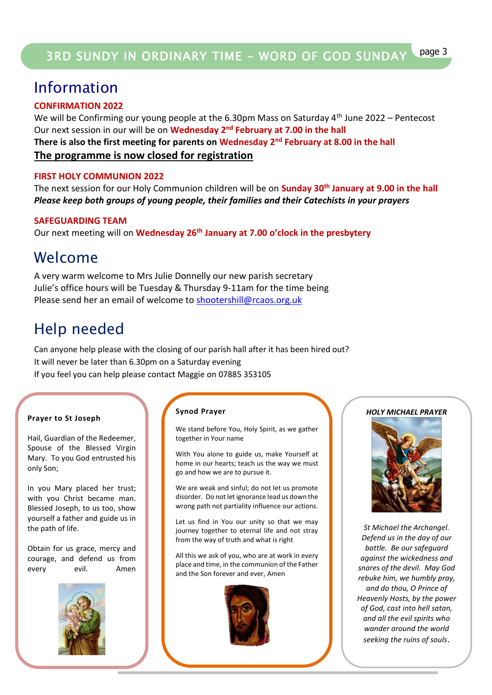## Information

### **CONFIRMATION 2022**

We will be Confirming our young people at the 6.30pm Mass on Saturday  $4<sup>th</sup>$  June 2022 – Pentecost Our next session in our will be on **Wednesday 2<sup>nd</sup> February at 7.00 in the hall There is also the first meeting for parents on Wednesday 2nd February at 8.00 in the hall The programme is now closed for registration**

### **FIRST HOLY COMMUNION 2022**

The next session for our Holy Communion children will be on **Sunday 30th January at 9.00 in the hall** *Please keep both groups of young people, their families and their Catechists in your prayers* 

### **SAFEGUARDING TEAM**

Our next meeting will on **Wednesday 26th January at 7.00 o'clock in the presbytery**

## Welcome

A very warm welcome to Mrs Julie Donnelly our new parish secretary Julie's office hours will be Tuesday & Thursday 9-11am for the time being Please send her an email of welcome to [shootershill@rcaos.org.uk](mailto:shootershill@rcaos.org.uk)

## Help needed

Can anyone help please with the closing of our parish hall after it has been hired out? It will never be later than 6.30pm on a Saturday evening If you feel you can help please contact Maggie on 07885 353105

#### **Prayer to St Joseph**

Hail, Guardian of the Redeemer, Spouse of the Blessed Virgin Mary. To you God entrusted his only Son;

In you Mary placed her trust; with you Christ became man. Blessed Joseph, to us too, show yourself a father and guide us in the path of life.

Obtain for us grace, mercy and courage, and defend us from every evil. Amen



#### **Synod Prayer**

We stand before You, Holy Spirit, as we gather together in Your name

With You alone to guide us, make Yourself at home in our hearts; teach us the way we must go and how we are to pursue it.

We are weak and sinful; do not let us promote disorder. Do not let ignorance lead us down the wrong path not partiality influence our actions.

Let us find in You our unity so that we may journey together to eternal life and not stray from the way of truth and what is right

All this we ask of you, who are at work in every place and time, in the communion of the Father and the Son forever and ever, Amen



#### *HOLY MICHAEL PRAYER*



*St Michael the Archangel. Defend us in the day of our battle. Be our safeguard against the wickedness and snares of the devil. May God rebuke him, we humbly pray, and do thou, O Prince of Heavenly Hosts, by the power of God, cast into hell satan, and all the evil spirits who wander around the world seeking the ruins of souls*.